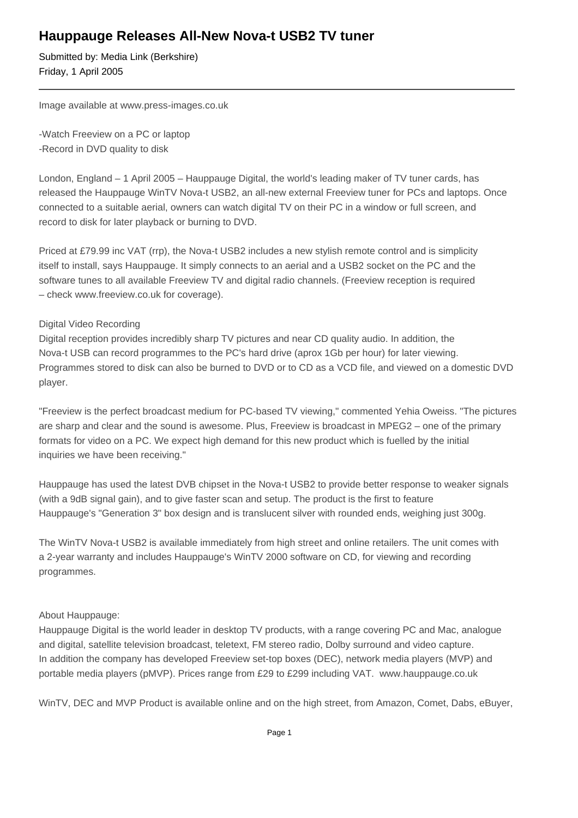## **Hauppauge Releases All-New Nova-t USB2 TV tuner**

Submitted by: Media Link (Berkshire) Friday, 1 April 2005

Image available at www.press-images.co.uk

- Watch Freeview on a PC or laptop
- Record in DVD quality to disk

London, England – 1 April 2005 – Hauppauge Digital, the world's leading maker of TV tuner cards, has released the Hauppauge WinTV Nova-t USB2, an all-new external Freeview tuner for PCs and laptops. Once connected to a suitable aerial, owners can watch digital TV on their PC in a window or full screen, and record to disk for later playback or burning to DVD.

Priced at £79.99 inc VAT (rrp), the Nova-t USB2 includes a new stylish remote control and is simplicity itself to install, says Hauppauge. It simply connects to an aerial and a USB2 socket on the PC and the software tunes to all available Freeview TV and digital radio channels. (Freeview reception is required – check www.freeview.co.uk for coverage).

## Digital Video Recording

Digital reception provides incredibly sharp TV pictures and near CD quality audio. In addition, the Nova-t USB can record programmes to the PC's hard drive (aprox 1Gb per hour) for later viewing. Programmes stored to disk can also be burned to DVD or to CD as a VCD file, and viewed on a domestic DVD player.

"Freeview is the perfect broadcast medium for PC-based TV viewing," commented Yehia Oweiss. "The pictures are sharp and clear and the sound is awesome. Plus, Freeview is broadcast in MPEG2 – one of the primary formats for video on a PC. We expect high demand for this new product which is fuelled by the initial inquiries we have been receiving."

Hauppauge has used the latest DVB chipset in the Nova-t USB2 to provide better response to weaker signals (with a 9dB signal gain), and to give faster scan and setup. The product is the first to feature Hauppauge's "Generation 3" box design and is translucent silver with rounded ends, weighing just 300g.

The WinTV Nova-t USB2 is available immediately from high street and online retailers. The unit comes with a 2-year warranty and includes Hauppauge's WinTV 2000 software on CD, for viewing and recording programmes.

## About Hauppauge:

Hauppauge Digital is the world leader in desktop TV products, with a range covering PC and Mac, analogue and digital, satellite television broadcast, teletext, FM stereo radio, Dolby surround and video capture. In addition the company has developed Freeview set-top boxes (DEC), network media players (MVP) and portable media players (pMVP). Prices range from £29 to £299 including VAT. www.hauppauge.co.uk

WinTV, DEC and MVP Product is available online and on the high street, from Amazon, Comet, Dabs, eBuyer,